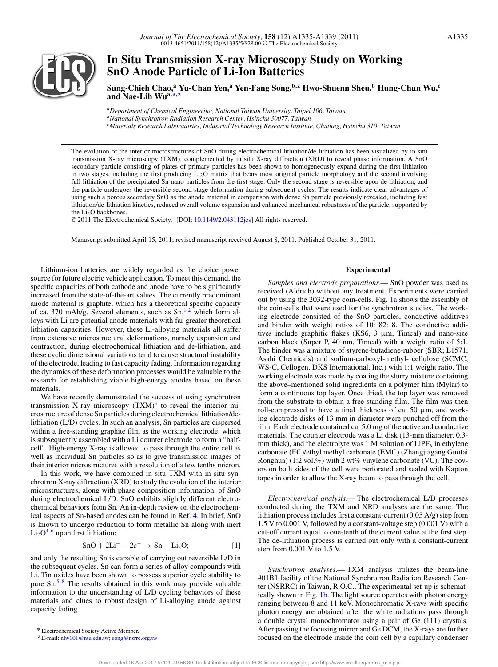

# **In Situ Transmission X-ray Microscopy Study on Working SnO Anode Particle of Li-Ion Batteries**

**Sung-Chieh Chao,<sup>a</sup> Yu-Chan Yen,<sup>a</sup> Yen-Fang Song,b[,z](#page-0-0) Hwo-Shuenn Sheu,b Hung-Chun Wu,<sup>c</sup> and Nae-Lih Wua,[∗](#page-0-1)[,z](#page-0-0)**

*aDepartment of Chemical Engineering, National Taiwan University, Taipei 106, Taiwan bNational Synchrotron Radiation Research Center, Hsinchu 30077, Taiwan cMaterials Research Laboratories, Industrial Technology Research Institute, Chutung, Hsinchu 310, Taiwan*

The evolution of the interior microstructures of SnO during electrochemical lithiation/de-lithiation has been visualized by in situ transmission X-ray microscopy (TXM), complemented by in situ X-ray diffraction (XRD) to reveal phase information. A SnO secondary particle consisting of plates of primary particles has been shown to homogeneously expand during the first lithiation in two stages, including the first producing Li2O matrix that bears most original particle morphology and the second involving full lithiation of the precipitated Sn nano-particles from the first stage. Only the second stage is reversible upon de-lithiation, and the particle undergoes the reversible second-stage deformation during subsequent cycles. The results indicate clear advantages of using such a porous secondary SnO as the anode material in comparison with dense Sn particle previously revealed, including fast lithiation/de-lithiation kinetics, reduced overall volume expansion and enhanced mechanical robustness of the particle, supported by the Li<sub>2</sub>O backbones.

© 2011 The Electrochemical Society. [DOI: [10.1149/2.043112jes\]](http://dx.doi.org/10.1149/2.043112jes) All rights reserved.

Manuscript submitted April 15, 2011; revised manuscript received August 8, 2011. Published October 31, 2011.

Lithium-ion batteries are widely regarded as the choice power source for future electric vehicle application. To meet this demand, the specific capacities of both cathode and anode have to be significantly increased from the state-of-the-art values. The currently predominant anode material is graphite, which has a theoretical specific capacity of ca. 370 mAh/g. Several elements, such as  $Sn, <sup>1,2</sup>$  $Sn, <sup>1,2</sup>$  $Sn, <sup>1,2</sup>$  which form alloys with Li are potential anode materials with far greater theoretical lithiation capacities. However, these Li-alloying materials all suffer from extensive microstructural deformations, namely expansion and contraction, during electrochemical lithiation and de-lithiation, and these cyclic dimensional variations tend to cause structural instability of the electrode, leading to fast capacity fading. Information regarding the dynamics of these deformation processes would be valuable to the research for establishing viable high-energy anodes based on these materials.

We have recently demonstrated the success of using synchrotron transmission X-ray microscopy  $(TXM)^3$  to reveal the interior microstructure of dense Sn particles during electrochemical lithiation/delithiation (L/D) cycles. In such an analysis, Sn particles are dispersed within a free-standing graphite film as the working electrode, which is subsequently assembled with a Li counter electrode to form a "halfcell". High-energy X-ray is allowed to pass through the entire cell as well as individual Sn particles so as to give transmission images of their interior microstructures with a resolution of a few tenths micron.

In this work, we have combined in situ TXM with in situ synchrotron X-ray diffraction (XRD) to study the evolution of the interior microstructures, along with phase composition information, of SnO during electrochemical L/D. SnO exhibits slightly different electrochemical behaviors from Sn. An in-depth review on the electrochemical aspects of Sn-based anodes can be found in Ref. [4.](#page-3-3) In brief, SnO is known to undergo reduction to form metallic Sn along with inert  $Li<sub>2</sub>O<sup>4–6</sup>$  $Li<sub>2</sub>O<sup>4–6</sup>$  $Li<sub>2</sub>O<sup>4–6</sup>$  upon first lithiation:

<span id="page-0-2"></span>
$$
SnO + 2Li^{+} + 2e^{-} \rightarrow Sn + Li_{2}O;
$$
 [1]

and only the resulting Sn is capable of carrying out reversible L/D in the subsequent cycles. Sn can form a series of alloy compounds with Li. Tin oxides have been shown to possess superior cycle stability to pure  $\text{Sn.}^{5-8}$  $\text{Sn.}^{5-8}$  $\text{Sn.}^{5-8}$  The results obtained in this work may provide valuable information to the understanding of L/D cycling behaviors of these materials and clues to robust design of Li-alloying anode against capacity fading.

#### **Experimental**

*Samples and electrode preparations.—* SnO powder was used as received (Aldrich) without any treatment. Experiments were carried out by using the 2032-type coin-cells. Fig. [1a](#page-1-0) shows the assembly of the coin-cells that were used for the synchrotron studies. The working electrode consisted of the SnO particles, conductive additives and binder with weight ratios of 10: 82: 8. The conductive additives include graphitic flakes (KS6,  $3 \mu m$ , Timcal) and nano-size carbon black (Super P, 40 nm, Timcal) with a weight ratio of 5:1. The binder was a mixture of styrene-butadiene-rubber (SBR; L1571, Asahi Chemicals) and sodium-carboxyl-methyl- cellulose (SCMC; WS-C, Cellogen, DKS International, Inc.) with 1:1 weight ratio. The working electrode was made by coating the slurry mixture containing the above–mentioned solid ingredients on a polymer film (Mylar) to form a continuous top layer. Once dried, the top layer was removed from the substrate to obtain a free-standing film. The film was then roll-compressed to have a final thickness of ca. 50  $\mu$ m, and working electrode disks of 13 mm in diameter were punched off from the film. Each electrode contained ca. 5.0 mg of the active and conductive materials. The counter electrode was a Li disk (13-mm diameter, 0.3 mm thick), and the electrolyte was 1 M solution of  $LiPF_6$  in ethylene carbonate (EC)/ethyl methyl carbonate (EMC) (Zhangjiagang Guotai Ronghua) (1:2 vol.%) with 2 wt% vinylene carbonate (VC). The covers on both sides of the cell were perforated and sealed with Kapton tapes in order to allow the X-ray beam to pass through the cell.

*Electrochemical analysis.—* The electrochemical L/D processes conducted during the TXM and XRD analyses are the same. The lithiation process includes first a constant-current (0.05 A/g) step from 1.5 V to 0.001 V, followed by a constant-voltage step (0.001 V) with a cut-off current equal to one-tenth of the current value at the first step. The de-lithiation process is carried out only with a constant-current step from 0.001 V to 1.5 V.

*Synchrotron analyses.—* TXM analysis utilizes the beam-line #01B1 facility of the National Synchrotron Radiation Research Center (NSRRC) in Taiwan, R.O.C.. The experimental set-up is schematically shown in Fig. [1b.](#page-1-0) The light source operates with photon energy ranging between 8 and 11 keV. Monochromatic X-rays with specific photon energy are obtained after the white radiations pass through a double crystal monochromator using a pair of Ge (111) crystals. After passing the focusing mirror and Ge DCM, the X-rays are further focused on the electrode inside the coin cell by a capillary condenser

<span id="page-0-1"></span><sup>∗</sup> Electrochemical Society Active Member.

<span id="page-0-0"></span><sup>z</sup> E-mail: [nlw001@ntu.edu.tw;](mailto: nlw001@ntu.edu.tw) [song@nsrrc.org.tw](mailto: song@nsrrc.org.tw)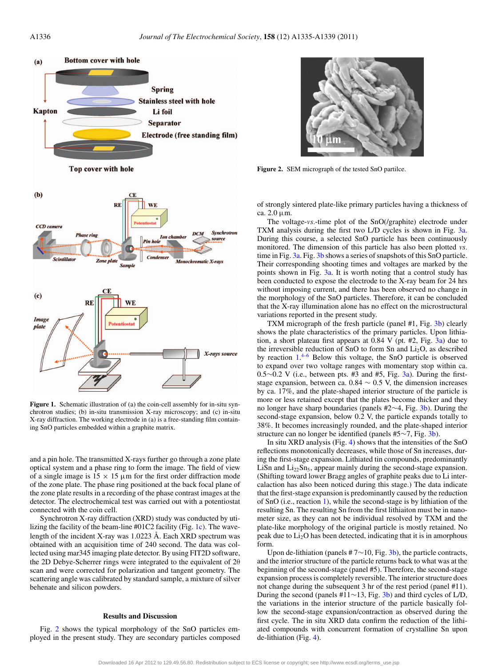<span id="page-1-0"></span>

**Figure 1.** Schematic illustration of (a) the coin-cell assembly for in-situ synchrotron studies; (b) in-situ transmission X-ray microscopy; and (c) in-situ X-ray diffraction. The working electrode in (a) is a free-standing film containing SnO particles embedded within a graphite matrix.

and a pin hole. The transmitted X-rays further go through a zone plate optical system and a phase ring to form the image. The field of view of a single image is  $15 \times 15 \mu$ m for the first order diffraction mode of the zone plate. The phase ring positioned at the back focal plane of the zone plate results in a recording of the phase contrast images at the detector. The electrochemical test was carried out with a potentiostat connected with the coin cell.

Synchrotron X-ray diffraction (XRD) study was conducted by utilizing the facility of the beam-line #01C2 facility (Fig. [1c\)](#page-1-0). The wavelength of the incident X-ray was 1.0223 Å. Each XRD spectrum was obtained with an acquisition time of 240 second. The data was collected using mar345 imaging plate detector. By using FIT2D software, the 2D Debye-Scherrer rings were integrated to the equivalent of 2θ scan and were corrected for polarization and tangent geometry. The scattering angle was calibrated by standard sample, a mixture of silver behenate and silicon powders.

# **Results and Discussion**

Fig. [2](#page-1-1) shows the typical morphology of the SnO particles employed in the present study. They are secondary particles composed

<span id="page-1-1"></span>

**Figure 2.** SEM micrograph of the tested SnO partilce.

of strongly sintered plate-like primary particles having a thickness of ca. 2.0 μm.

The voltage-*vs.*-time plot of the SnO(/graphite) electrode under TXM analysis during the first two L/D cycles is shown in Fig. [3a.](#page-2-0) During this course, a selected SnO particle has been continuously monitored. The dimension of this particle has also been plotted *vs.* time in Fig. [3a.](#page-2-0) Fig. [3b](#page-2-0) shows a series of snapshots of this SnO particle. Their corresponding shooting times and voltages are marked by the points shown in Fig. [3a.](#page-2-0) It is worth noting that a control study has been conducted to expose the electrode to the X-ray beam for 24 hrs without imposing current, and there has been observed no change in the morphology of the SnO particles. Therefore, it can be concluded that the X-ray illumination alone has no effect on the microstructural variations reported in the present study.

TXM micrograph of the fresh particle (panel #1, Fig. [3b\)](#page-2-0) clearly shows the plate characteristics of the primary particles. Upon lithiation, a short plateau first appears at  $0.84$  V (pt. #2, Fig. [3a\)](#page-2-0) due to the irreversible reduction of SnO to form Sn and  $Li<sub>2</sub>O$ , as described by reaction [1.](#page-0-2)<sup>4-[6](#page-3-4)</sup> Below this voltage, the SnO particle is observed to expand over two voltage ranges with momentary stop within ca.  $0.5 \sim 0.2$  V (i.e., between pts. #3 and #5, Fig. [3a\)](#page-2-0). During the firststage expansion, between ca. 0.84  $\sim$  0.5 V, the dimension increases by ca. 17%, and the plate-shaped interior structure of the particle is more or less retained except that the plates become thicker and they no longer have sharp boundaries (panels #2∼4, Fig. [3b\)](#page-2-0). During the second-stage expansion, below 0.2 V, the particle expands totally to 38%. It becomes increasingly rounded, and the plate-shaped interior structure can no longer be identified (panels #5∼7, Fig. [3b\)](#page-2-0).

In situ XRD analysis (Fig. [4\)](#page-3-6) shows that the intensities of the SnO reflections monotonically decreases, while those of Sn increases, during the first-stage expansion. Lithiated tin compounds, predominantly LiSn and  $Li_{22}Sn_5$ , appear mainly during the second-stage expansion. (Shifting toward lower Bragg angles of graphite peaks due to Li intercalaction has also been noticed during this stage.) The data indicate that the first-stage expansion is predominantly caused by the reduction of SnO (i.e., reaction [1\)](#page-0-2), while the second-stage is by lithiation of the resulting Sn. The resulting Sn from the first lithiaiton must be in nanometer size, as they can not be individual resolved by TXM and the plate-like morphology of the original particle is mostly retained. No peak due to  $Li<sub>2</sub>O$  has been detected, indicating that it is in amorphous form.

Upon de-lithiation (panels #  $7 \sim 10$ , Fig. [3b\)](#page-2-0), the particle contracts, and the interior structure of the particle returns back to what was at the beginning of the second-stage (panel #5). Therefore, the second-stage expansion process is completely reversible. The interior structure does not change during the subsequent 3 hr of the rest period (panel #11). During the second (panels #11∼13, Fig. [3b\)](#page-2-0) and third cycles of L/D, the variations in the interior structure of the particle basically follow the second-stage expansion/contraction as observed during the first cycle. The in situ XRD data confirm the reduction of the lithiated compounds with concurrent formation of crystalline Sn upon de-lithiation (Fig. [4\)](#page-3-6).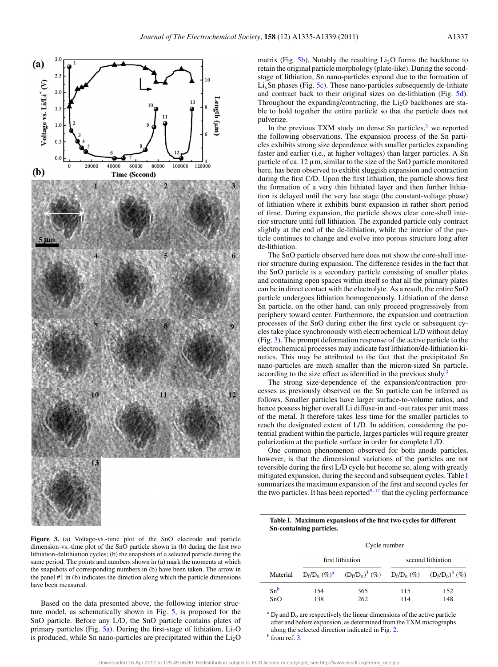<span id="page-2-0"></span>

Figure 3. (a) Voltage-vs.-time plot of the SnO electrode and particle dimension-vs.-time plot of the SnO particle shown in (b) during the first two lithiation-delithiation cycles; (b) the snapshots of a selected particle during the same period. The points and numbers shown in (a) mark the moments at which the snapshots of corresponding numbers in (b) have been taken. The arrow in the panel #1 in (b) indicates the direction along which the particle dimensions have been measured.

Based on the data presented above, the following interior structure model, as schematically shown in Fig. [5,](#page-3-7) is proposed for the SnO particle. Before any L/D, the SnO particle contains plates of primary particles (Fig.  $5a$ ). During the first-stage of lithiation,  $Li<sub>2</sub>O$ is produced, while Sn nano-particles are precipitated within the  $Li<sub>2</sub>O$ 

matrix (Fig.  $5b$ ). Notably the resulting Li<sub>2</sub>O forms the backbone to retain the original particle morphology (plate-like). During the secondstage of lithiation, Sn nano-particles expand due to the formation of  $Li<sub>x</sub>$ Sn phases (Fig. [5c\)](#page-3-7). These nano-particles subsequently de-lithiate and contract back to their original sizes on de-lithiation (Fig. [5d\)](#page-3-7). Throughout the expanding/contracting, the  $Li<sub>2</sub>O$  backbones are stable to hold together the entire particle so that the particle does not pulverize.

In the previous TXM study on dense Sn particles, $3$  we reported the following observations. The expansion process of the Sn particles exhibits strong size dependence with smaller particles expanding faster and earlier (i.e., at higher voltages) than larger particles. A Sn particle of ca. 12  $\mu$ m, similar to the size of the SnO particle monitored here, has been observed to exhibit sluggish expansion and contraction during the first C/D. Upon the first lithiation, the particle shows first the formation of a very thin lithiated layer and then further lithiation is delayed until the very late stage (the constant-voltage phase) of lithiation where it exhibits burst expansion in rather short period of time. During expansion, the particle shows clear core-shell interior structure until full lithiation. The expanded particle only contract slightly at the end of the de-lithiation, while the interior of the particle continues to change and evolve into porous structure long after de-lithiation.

The SnO particle observed here does not show the core-shell interior structure during expansion. The difference resides in the fact that the SnO particle is a secondary particle consisting of smaller plates and containing open spaces within itself so that all the primary plates can be in direct contact with the electrolyte. As a result, the entire SnO particle undergoes lithiation homogeneously. Lithiation of the dense Sn particle, on the other hand, can only proceed progressively from periphery toward center. Furthermore, the expansion and contraction processes of the SnO during either the first cycle or subsequent cycles take place synchronously with electrochemical L/D without delay (Fig. [3\)](#page-2-0). The prompt deformation response of the active particle to the electrochemical processes may indicate fast lithiation/de-lithiation kinetics. This may be attributed to the fact that the precipitated Sn nano-particles are much smaller than the micron-sized Sn particle, according to the size effect as identified in the previous study.<sup>[3](#page-3-2)</sup>

The strong size-dependence of the expansion/contraction processes as previously observed on the Sn particle can be inferred as follows. Smaller particles have larger surface-to-volume ratios, and hence possess higher overall Li diffuse-in and -out rates per unit mass of the metal. It therefore takes less time for the smaller particles to reach the designated extent of L/D. In addition, considering the potential gradient within the particle, larges particles will require greater polarization at the particle surface in order for complete L/D.

One common phenomenon observed for both anode particles, however, is that the dimensional variations of the particles are not reversible during the first L/D cycle but become so, along with greatly mitigated expansion, during the second and subsequent cycles. Table [I](#page-2-1) summarizes the maximum expansion of the first and second cycles for the two particles. It has been reported $9-17$  $9-17$  that the cycling performance

<span id="page-2-1"></span>**Table I. Maximum expansions of the first two cycles for different Sn-containing particles.**

|          | Cycle number     |                                                                              |                   |     |
|----------|------------------|------------------------------------------------------------------------------|-------------------|-----|
|          | first lithiation |                                                                              | second lithiation |     |
| Material |                  | $D_f/D_o$ (%) <sup>a</sup> $(D_f/D_o)^3$ (%) $D_f/D_o$ (%) $(D_f/D_o)^3$ (%) |                   |     |
| $Sn^b$   | 154              | 365                                                                          | 115               | 152 |
| SnO      | 138              | 262                                                                          | 114               | 148 |

<span id="page-2-3"></span><span id="page-2-2"></span> ${}^{a}D_{f}$  and  $D_{o}$  are respectively the linear dimensions of the active particle after and before expansion, as determined from the TXM micrographs along the selected direction indicated in Fig. [2.](#page-1-1)  $\frac{b}{b}$  from ref. [3.](#page-3-2)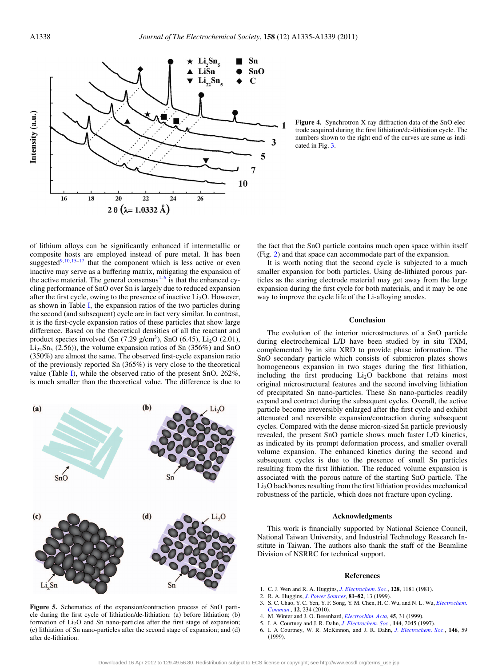<span id="page-3-6"></span>

**Figure 4.** Synchrotron X-ray diffraction data of the SnO electrode acquired during the first lithiation/de-lithiation cycle. The numbers shown to the right end of the curves are same as indicated in Fig. [3.](#page-2-0)

of lithium alloys can be significantly enhanced if intermetallic or composite hosts are employed instead of pure metal. It has been suggested $9, 10, 15-17$  $9, 10, 15-17$  $9, 10, 15-17$  $9, 10, 15-17$  that the component which is less active or even inactive may serve as a buffering matrix, mitigating the expansion of the active material. The general consensus $4-6$  $4-6$  is that the enhanced cycling performance of SnO over Sn is largely due to reduced expansion after the first cycle, owing to the presence of inactive  $Li<sub>2</sub>O$ . However, as shown in Table [I,](#page-2-1) the expansion ratios of the two particles during the second (and subsequent) cycle are in fact very similar. In contrast, it is the first-cycle expansion ratios of these particles that show large difference. Based on the theoretical densities of all the reactant and product species involved (Sn  $(7.29 \text{ g/cm}^3)$ , SnO  $(6.45)$ , Li<sub>2</sub>O  $(2.01)$ ,  $Li_{22}Sn_{5}$  (2.56)), the volume expansion ratios of Sn (356%) and SnO (350%) are almost the same. The observed first-cycle expansion ratio of the previously reported Sn (365%) is very close to the theoretical value (Table [I\)](#page-2-1), while the observed ratio of the present SnO, 262%, is much smaller than the theoretical value. The difference is due to

<span id="page-3-7"></span> $(b)$  $(a)$  $SnO$  $(c)$  $(d)$ 

**Figure 5.** Schematics of the expansion/contraction process of SnO particle during the first cycle of lithiation/de-lithiation: (a) before lithiation; (b) formation of  $Li<sub>2</sub>O$  and Sn nano-particles after the first stage of expansion; (c) lithiation of Sn nano-particles after the second stage of expansion; and (d) after de-lithiation.

the fact that the SnO particle contains much open space within itself (Fig. [2\)](#page-1-1) and that space can accommodate part of the expansion.

It is worth noting that the second cycle is subjected to a much smaller expansion for both particles. Using de-lithiated porous particles as the staring electrode material may get away from the large expansion during the first cycle for both materials, and it may be one way to improve the cycle life of the Li-alloying anodes.

#### **Conclusion**

The evolution of the interior microstructures of a SnO particle during electrochemical L/D have been studied by in situ TXM, complemented by in situ XRD to provide phase information. The SnO secondary particle which consists of submicron plates shows homogeneous expansion in two stages during the first lithiation, including the first producing  $Li<sub>2</sub>O$  backbone that retains most original microstructural features and the second involving lithiation of precipitated Sn nano-particles. These Sn nano-particles readily expand and contract during the subsequent cycles. Overall, the active particle become irreversibly enlarged after the first cycle and exhibit attenuated and reversible expansion/contraction during subsequent cycles. Compared with the dense micron-sized Sn particle previously revealed, the present SnO particle shows much faster L/D kinetics, as indicated by its prompt deformation process, and smaller overall volume expansion. The enhanced kinetics during the second and subsequent cycles is due to the presence of small Sn particles resulting from the first lithiation. The reduced volume expansion is associated with the porous nature of the starting SnO particle. The  $Li<sub>2</sub>O$  backbones resulting from the first lithiation provides mechanical robustness of the particle, which does not fracture upon cycling.

### **Acknowledgments**

This work is financially supported by National Science Council, National Taiwan University, and Industrial Technology Research Institute in Taiwan. The authors also thank the staff of the Beamline Division of NSRRC for technical support.

## **References**

- <span id="page-3-0"></span>1. C. J. Wen and R. A. Huggins, *[J. Electrochem. Soc.](http://dx.doi.org/10.1149/1.2127590)*, **128**, 1181 (1981).
- <span id="page-3-1"></span>2. R. A. Huggins, *[J. Power Sources](http://dx.doi.org/10.1016/S0378-7753(99)00124-X)*, **81–82**, 13 (1999).
- <span id="page-3-2"></span>3. S. C. Chao, Y. C. Yen, Y. F. Song, Y. M. Chen, H. C. Wu, and N. L. Wu, *[Electrochem.](http://dx.doi.org/10.1016/j.elecom.2009.12.002) [Commun.](http://dx.doi.org/10.1016/j.elecom.2009.12.002)*, **12**, 234 (2010).
- <span id="page-3-5"></span><span id="page-3-3"></span>4. M. Winter and J. O. Besenhard, *[Electrochim. Acta](http://dx.doi.org/10.1016/S0013-4686(99)00191-7)*, **45**, 31 (1999).
- 5. I. A. Courtney and J. R. Dahn, *[J. Electrochem. Soc.](http://dx.doi.org/10.1149/1.1837740)*, **144**, 2045 (1997).
- <span id="page-3-4"></span>6. I. A Courtney, W. R. McKinnon, and J. R. Dahn, *[J. Electrochem. Soc.](http://dx.doi.org/10.1149/1.1391565)*, **146**, 59 (1999).